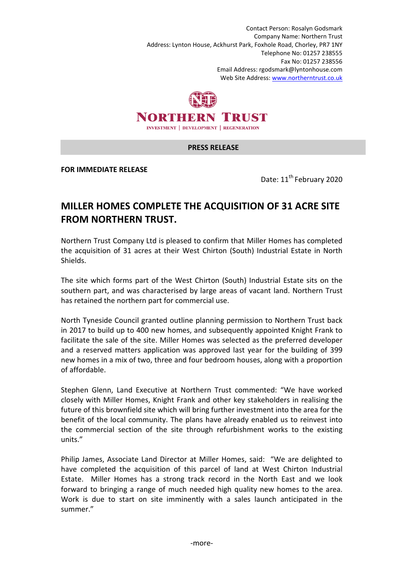Contact Person: Rosalyn Godsmark Company Name: Northern Trust Address: Lynton House, Ackhurst Park, Foxhole Road, Chorley, PR7 1NY Telephone No: 01257 238555 Fax No: 01257 238556 Email Address: rgodsmark@lyntonhouse.com Web Site Address: www.northerntrust.co.uk



## **PRESS RELEASE**

**FOR IMMEDIATE RELEASE** 

Date: 11<sup>th</sup> February 2020

## **MILLER HOMES COMPLETE THE ACQUISITION OF 31 ACRE SITE FROM NORTHERN TRUST.**

Northern Trust Company Ltd is pleased to confirm that Miller Homes has completed the acquisition of 31 acres at their West Chirton (South) Industrial Estate in North Shields.

The site which forms part of the West Chirton (South) Industrial Estate sits on the southern part, and was characterised by large areas of vacant land. Northern Trust has retained the northern part for commercial use.

North Tyneside Council granted outline planning permission to Northern Trust back in 2017 to build up to 400 new homes, and subsequently appointed Knight Frank to facilitate the sale of the site. Miller Homes was selected as the preferred developer and a reserved matters application was approved last year for the building of 399 new homes in a mix of two, three and four bedroom houses, along with a proportion of affordable.

Stephen Glenn, Land Executive at Northern Trust commented: "We have worked closely with Miller Homes, Knight Frank and other key stakeholders in realising the future of this brownfield site which will bring further investment into the area for the benefit of the local community. The plans have already enabled us to reinvest into the commercial section of the site through refurbishment works to the existing units."

Philip James, Associate Land Director at Miller Homes, said: "We are delighted to have completed the acquisition of this parcel of land at West Chirton Industrial Estate. Miller Homes has a strong track record in the North East and we look forward to bringing a range of much needed high quality new homes to the area. Work is due to start on site imminently with a sales launch anticipated in the summer."